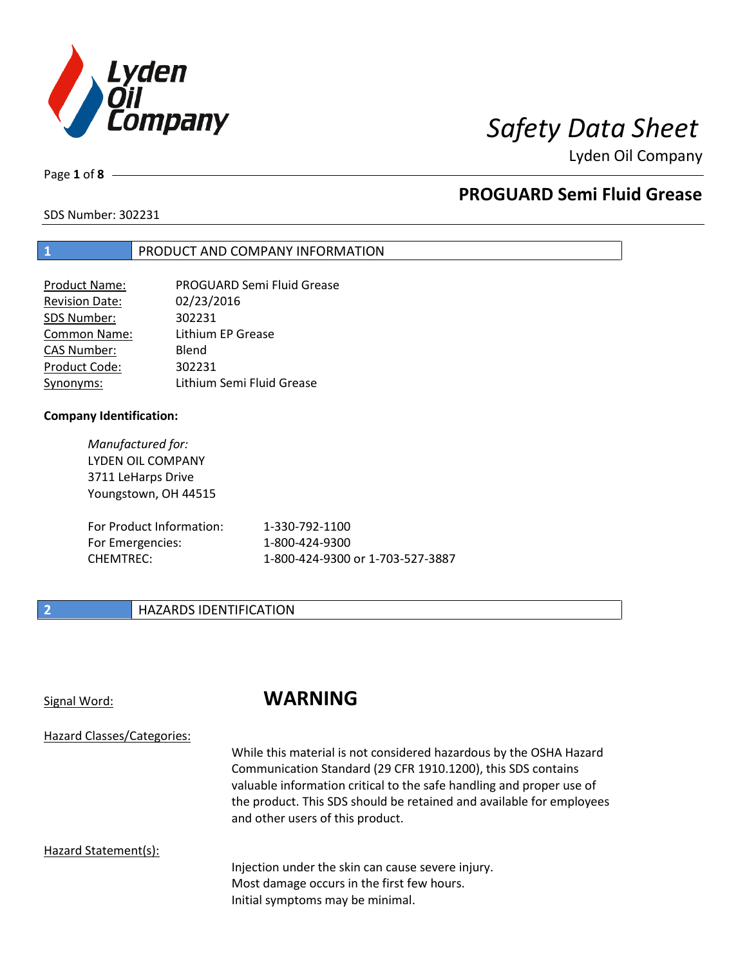

Page **1** of **8**

# **PROGUARD Semi Fluid Grease**

SDS Number: 302231

## **1** PRODUCT AND COMPANY INFORMATION

| Product Name:         | <b>PROGUARD Semi Fluid Grease</b> |
|-----------------------|-----------------------------------|
| <b>Revision Date:</b> | 02/23/2016                        |
| SDS Number:           | 302231                            |
| <b>Common Name:</b>   | Lithium EP Grease                 |
| <b>CAS Number:</b>    | Blend                             |
| Product Code:         | 302231                            |
| Synonyms:             | Lithium Semi Fluid Grease         |

## **Company Identification:**

*Manufactured for:* LYDEN OIL COMPANY 3711 LeHarps Drive Youngstown, OH 44515

| For Product Information: | 1-330-792-1100                   |
|--------------------------|----------------------------------|
| For Emergencies:         | 1-800-424-9300                   |
| CHEMTREC:                | 1-800-424-9300 or 1-703-527-3887 |

## **2 HAZARDS IDENTIFICATION**

# Signal Word: **WARNING**

Hazard Classes/Categories:

While this material is not considered hazardous by the OSHA Hazard Communication Standard (29 CFR 1910.1200), this SDS contains valuable information critical to the safe handling and proper use of the product. This SDS should be retained and available for employees and other users of this product.

## Hazard Statement(s):

Injection under the skin can cause severe injury. Most damage occurs in the first few hours. Initial symptoms may be minimal.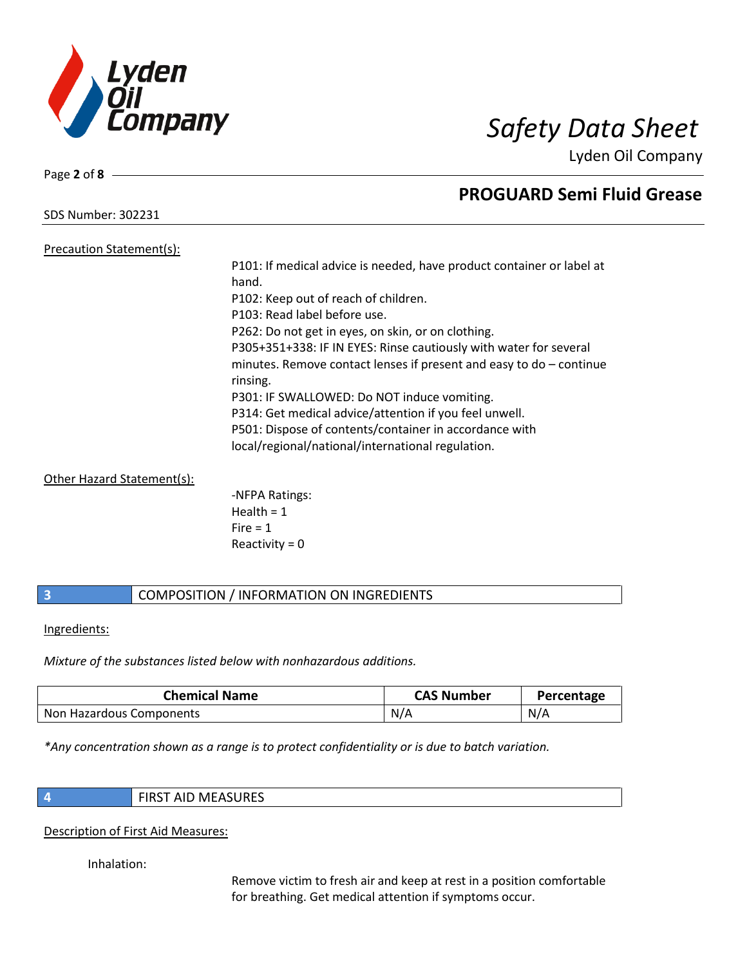

Page **2** of **8**

# **PROGUARD Semi Fluid Grease**

SDS Number: 302231 Precaution Statement(s):

P101: If medical advice is needed, have product container or label at hand. P102: Keep out of reach of children. P103: Read label before use. P262: Do not get in eyes, on skin, or on clothing. P305+351+338: IF IN EYES: Rinse cautiously with water for several minutes. Remove contact lenses if present and easy to do – continue rinsing. P301: IF SWALLOWED: Do NOT induce vomiting. P314: Get medical advice/attention if you feel unwell. P501: Dispose of contents/container in accordance with local/regional/national/international regulation.

Other Hazard Statement(s):

-NFPA Ratings: Health  $= 1$  $Fire = 1$ Reactivity  $= 0$ 

## **3** COMPOSITION / INFORMATION ON INGREDIENTS

Ingredients:

*Mixture of the substances listed below with nonhazardous additions.*

| <b>Chemical Name</b>     | <b>CAS Number</b> | Percentage |
|--------------------------|-------------------|------------|
| Non Hazardous Components | N/A               | N/A        |

*\*Any concentration shown as a range is to protect confidentiality or is due to batch variation.*

**4** FIRST AID MEASURES

Description of First Aid Measures:

Inhalation:

Remove victim to fresh air and keep at rest in a position comfortable for breathing. Get medical attention if symptoms occur.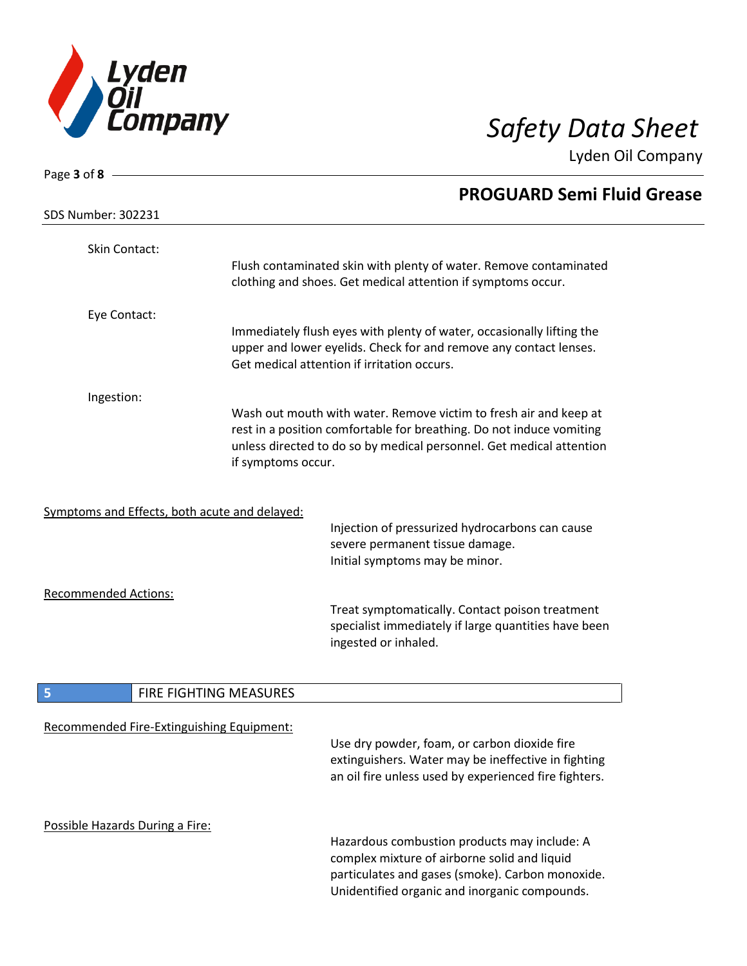

| Page 3 of 8                                   |                        |                                                                                                                                                                                                                   |
|-----------------------------------------------|------------------------|-------------------------------------------------------------------------------------------------------------------------------------------------------------------------------------------------------------------|
| <b>SDS Number: 302231</b>                     |                        | <b>PROGUARD Semi Fluid Grease</b>                                                                                                                                                                                 |
| Skin Contact:                                 |                        | Flush contaminated skin with plenty of water. Remove contaminated<br>clothing and shoes. Get medical attention if symptoms occur.                                                                                 |
|                                               |                        |                                                                                                                                                                                                                   |
| Eye Contact:                                  |                        | Immediately flush eyes with plenty of water, occasionally lifting the<br>upper and lower eyelids. Check for and remove any contact lenses.<br>Get medical attention if irritation occurs.                         |
| Ingestion:                                    |                        |                                                                                                                                                                                                                   |
|                                               | if symptoms occur.     | Wash out mouth with water. Remove victim to fresh air and keep at<br>rest in a position comfortable for breathing. Do not induce vomiting<br>unless directed to do so by medical personnel. Get medical attention |
| Symptoms and Effects, both acute and delayed: |                        |                                                                                                                                                                                                                   |
|                                               |                        | Injection of pressurized hydrocarbons can cause<br>severe permanent tissue damage.<br>Initial symptoms may be minor.                                                                                              |
| <b>Recommended Actions:</b>                   |                        | Treat symptomatically. Contact poison treatment<br>specialist immediately if large quantities have been<br>ingested or inhaled.                                                                                   |
| 5                                             | FIRE FIGHTING MEASURES |                                                                                                                                                                                                                   |
| Recommended Fire-Extinguishing Equipment:     |                        | Use dry powder, foam, or carbon dioxide fire<br>extinguishers. Water may be ineffective in fighting<br>an oil fire unless used by experienced fire fighters.                                                      |
| Possible Hazards During a Fire:               |                        | Hazardous combustion products may include: A<br>complex mixture of airborne solid and liquid<br>particulates and gases (smoke). Carbon monoxide.<br>Unidentified organic and inorganic compounds.                 |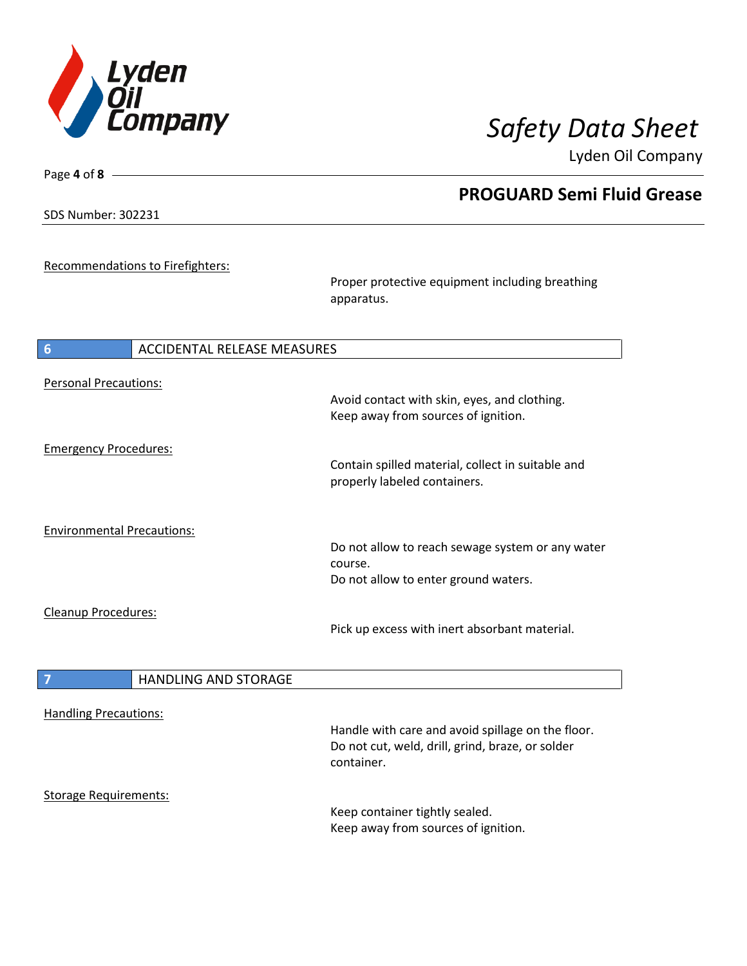

SDS Number: 302231

Page **4** of **8**

# **PROGUARD Semi Fluid Grease**

Recommendations to Firefighters:

Proper protective equipment including breathing apparatus.

| 6                                 | <b>ACCIDENTAL RELEASE MEASURES</b> |                                                   |
|-----------------------------------|------------------------------------|---------------------------------------------------|
| <b>Personal Precautions:</b>      |                                    |                                                   |
|                                   |                                    | Avoid contact with skin, eyes, and clothing.      |
|                                   |                                    | Keep away from sources of ignition.               |
|                                   |                                    |                                                   |
| <b>Emergency Procedures:</b>      |                                    | Contain spilled material, collect in suitable and |
|                                   |                                    | properly labeled containers.                      |
|                                   |                                    |                                                   |
|                                   |                                    |                                                   |
| <b>Environmental Precautions:</b> |                                    |                                                   |
|                                   |                                    | Do not allow to reach sewage system or any water  |
|                                   |                                    | course.<br>Do not allow to enter ground waters.   |
|                                   |                                    |                                                   |
| Cleanup Procedures:               |                                    |                                                   |
|                                   |                                    | Pick up excess with inert absorbant material.     |
|                                   |                                    |                                                   |
| $\overline{7}$                    | <b>HANDLING AND STORAGE</b>        |                                                   |
|                                   |                                    |                                                   |
| <b>Handling Precautions:</b>      |                                    |                                                   |
|                                   |                                    | Handle with care and avoid spillage on the floor. |
|                                   |                                    | Do not cut, weld, drill, grind, braze, or solder  |
|                                   |                                    | container.                                        |
| <b>Storage Requirements:</b>      |                                    |                                                   |
|                                   |                                    | Keep container tightly sealed.                    |
|                                   |                                    | Keep away from sources of ignition.               |
|                                   |                                    |                                                   |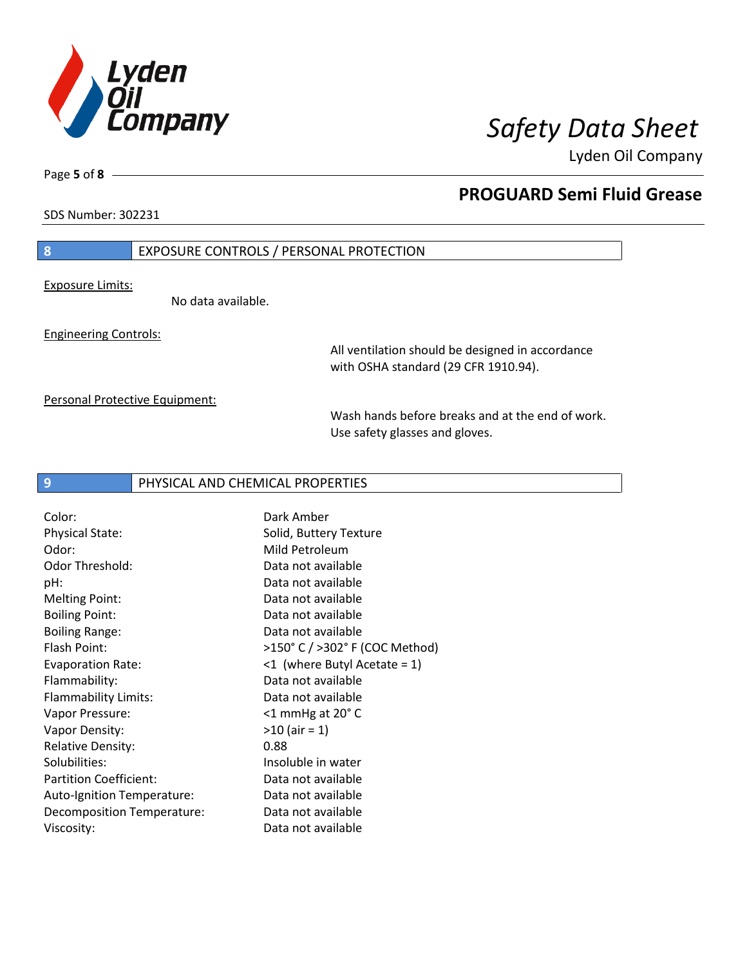

SDS Number: 302231

Page **5** of **8**

## **PROGUARD Semi Fluid Grease**

## **8** EXPOSURE CONTROLS / PERSONAL PROTECTION

Exposure Limits:

No data available.

Engineering Controls:

All ventilation should be designed in accordance with OSHA standard (29 CFR 1910.94).

Personal Protective Equipment:

Wash hands before breaks and at the end of work. Use safety glasses and gloves.

## **9** PHYSICAL AND CHEMICAL PROPERTIES

Color: Dark Amber Physical State: Solid, Buttery Texture Odor: Mild Petroleum Odor Threshold: Data not available pH: Data not available Melting Point: Data not available Boiling Point: Data not available Boiling Range: Data not available Flammability: Data not available Flammability Limits: Data not available Vapor Pressure: <1 mmHg at 20° C Vapor Density:  $>10$  (air = 1) Relative Density: 0.88 Solubilities: Insoluble in water Partition Coefficient: Data not available Auto-Ignition Temperature: Data not available Decomposition Temperature: Data not available Viscosity: **Data not available** 

Flash Point: >150° C / >302° F (COC Method) Evaporation Rate: <1 (where Butyl Acetate = 1)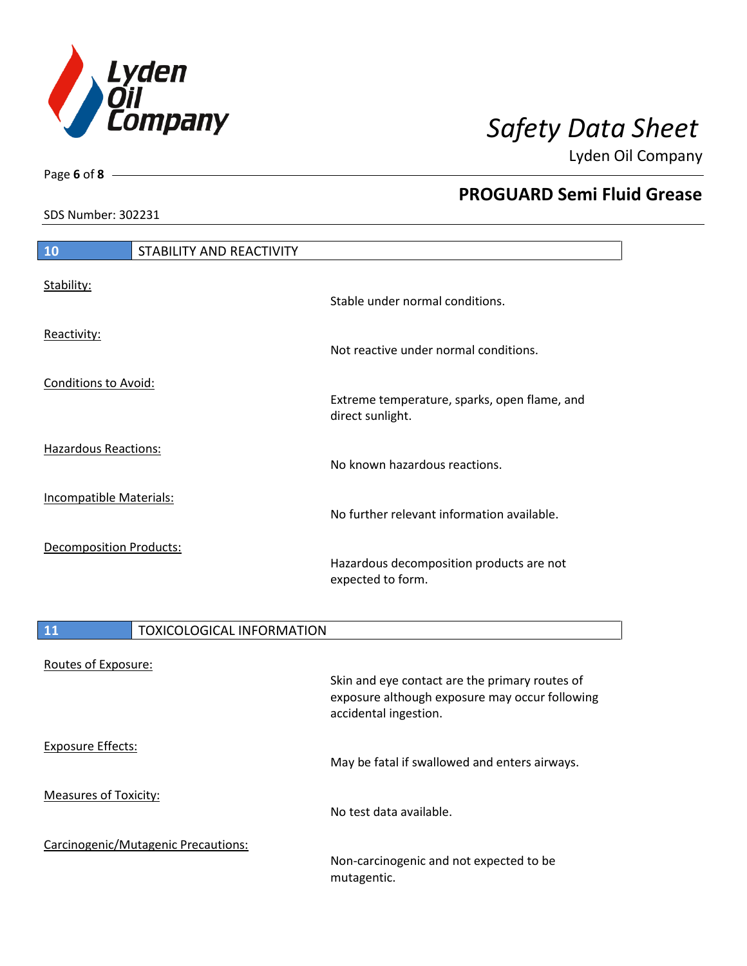

Page **6** of **8**

# **PROGUARD Semi Fluid Grease**

SDS Number: 302231

| 10                             | STABILITY AND REACTIVITY |                                                                  |
|--------------------------------|--------------------------|------------------------------------------------------------------|
| Stability:                     |                          | Stable under normal conditions.                                  |
| Reactivity:                    |                          | Not reactive under normal conditions.                            |
| <b>Conditions to Avoid:</b>    |                          | Extreme temperature, sparks, open flame, and<br>direct sunlight. |
| <b>Hazardous Reactions:</b>    |                          | No known hazardous reactions.                                    |
| <b>Incompatible Materials:</b> |                          | No further relevant information available.                       |
| <b>Decomposition Products:</b> |                          | Hazardous decomposition products are not<br>expected to form.    |

| 11                           | <b>TOXICOLOGICAL INFORMATION</b>    |                                                                                                                           |
|------------------------------|-------------------------------------|---------------------------------------------------------------------------------------------------------------------------|
| Routes of Exposure:          |                                     | Skin and eye contact are the primary routes of<br>exposure although exposure may occur following<br>accidental ingestion. |
| <b>Exposure Effects:</b>     |                                     | May be fatal if swallowed and enters airways.                                                                             |
| <b>Measures of Toxicity:</b> |                                     | No test data available.                                                                                                   |
|                              | Carcinogenic/Mutagenic Precautions: | Non-carcinogenic and not expected to be<br>mutagentic.                                                                    |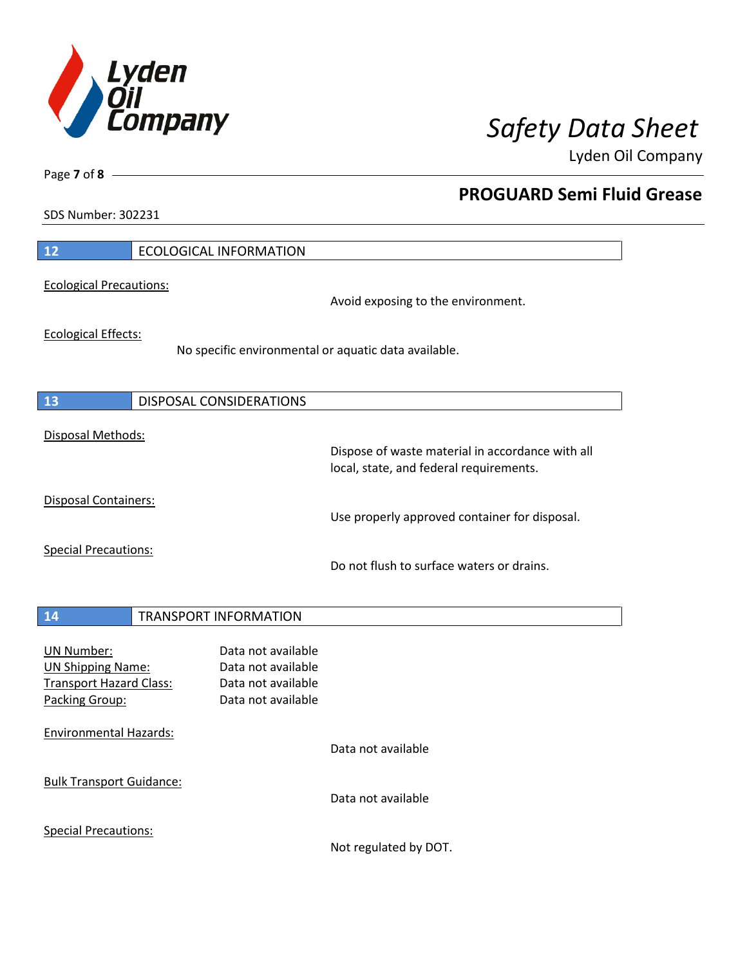

**PROGUARD Semi Fluid Grease**

Lyden Oil Company

SDS Number: 302231

Page **7** of **8**

| 12                                                                                                | <b>ECOLOGICAL INFORMATION</b>                                                               |
|---------------------------------------------------------------------------------------------------|---------------------------------------------------------------------------------------------|
| <b>Ecological Precautions:</b>                                                                    | Avoid exposing to the environment.                                                          |
| <b>Ecological Effects:</b>                                                                        | No specific environmental or aquatic data available.                                        |
| 13                                                                                                | <b>DISPOSAL CONSIDERATIONS</b>                                                              |
| Disposal Methods:                                                                                 | Dispose of waste material in accordance with all<br>local, state, and federal requirements. |
| <b>Disposal Containers:</b>                                                                       | Use properly approved container for disposal.                                               |
| <b>Special Precautions:</b>                                                                       | Do not flush to surface waters or drains.                                                   |
| 14                                                                                                | <b>TRANSPORT INFORMATION</b>                                                                |
| <b>UN Number:</b><br><b>UN Shipping Name:</b><br><b>Transport Hazard Class:</b><br>Packing Group: | Data not available<br>Data not available<br>Data not available<br>Data not available        |
| <b>Environmental Hazards:</b>                                                                     | Data not available                                                                          |
| <b>Bulk Transport Guidance:</b>                                                                   | Data not available                                                                          |
| <b>Special Precautions:</b>                                                                       |                                                                                             |

Not regulated by DOT.